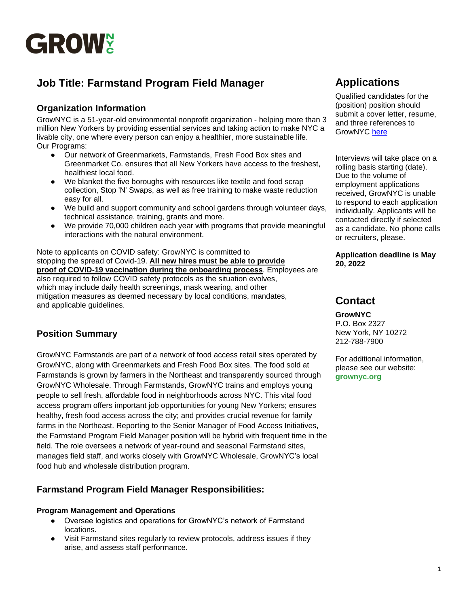

# **Job Title: Farmstand Program Field Manager**

## **Organization Information**

GrowNYC is a 51-year-old environmental nonprofit organization - helping more than 3 million New Yorkers by providing essential services and taking action to make NYC a livable city, one where every person can enjoy a healthier, more sustainable life. Our Programs:

- Our network of Greenmarkets, Farmstands, Fresh Food Box sites and Greenmarket Co. ensures that all New Yorkers have access to the freshest, healthiest local food.
- We blanket the five boroughs with resources like textile and food scrap collection, Stop 'N' Swaps, as well as free training to make waste reduction easy for all.
- We build and support community and school gardens through volunteer days, technical assistance, training, grants and more.
- We provide 70,000 children each year with programs that provide meaningful interactions with the natural environment.

Note to applicants on COVID safety: GrowNYC is committed to stopping the spread of Covid-19. **All new hires must be able to provide proof of COVID-19 vaccination during the onboarding process**. Employees are also required to follow COVID safety protocols as the situation evolves, which may include daily health screenings, mask wearing, and other mitigation measures as deemed necessary by local conditions, mandates, and applicable guidelines.

# **Position Summary**

GrowNYC Farmstands are part of a network of food access retail sites operated by GrowNYC, along with Greenmarkets and Fresh Food Box sites. The food sold at Farmstands is grown by farmers in the Northeast and transparently sourced through GrowNYC Wholesale. Through Farmstands, GrowNYC trains and employs young people to sell fresh, affordable food in neighborhoods across NYC. This vital food access program offers important job opportunities for young New Yorkers; ensures healthy, fresh food access across the city; and provides crucial revenue for family farms in the Northeast. Reporting to the Senior Manager of Food Access Initiatives, the Farmstand Program Field Manager position will be hybrid with frequent time in the field. The role oversees a network of year-round and seasonal Farmstand sites, manages field staff, and works closely with GrowNYC Wholesale, GrowNYC's local food hub and wholesale distribution program.

# **Farmstand Program Field Manager Responsibilities:**

#### **Program Management and Operations**

- Oversee logistics and operations for GrowNYC's network of Farmstand locations.
- Visit Farmstand sites regularly to review protocols, address issues if they arise, and assess staff performance.

# **Applications**

Qualified candidates for the (position) position should submit a cover letter, resume, and three references to GrowNYC [here](https://recruiting.paylocity.com/recruiting/jobs/Details/1079208/GrowNYC/Farmstand-Program-Field-Manager-Full-time-Hybrid)

Interviews will take place on a rolling basis starting (date). Due to the volume of employment applications received, GrowNYC is unable to respond to each application individually. Applicants will be contacted directly if selected as a candidate. No phone calls or recruiters, please.

**Application deadline is May 20, 2022**

# **Contact**

**GrowNYC**  P.O. Box 2327 New York, NY 10272 212-788-7900

For additional information, please see our website: **grownyc.org**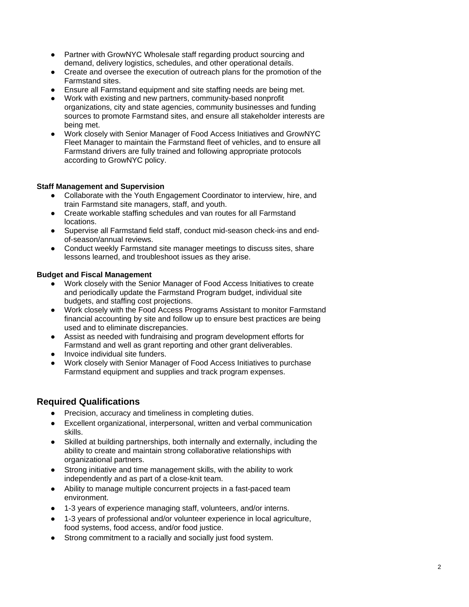- Partner with GrowNYC Wholesale staff regarding product sourcing and demand, delivery logistics, schedules, and other operational details.
- Create and oversee the execution of outreach plans for the promotion of the Farmstand sites.
- Ensure all Farmstand equipment and site staffing needs are being met.
- Work with existing and new partners, community-based nonprofit organizations, city and state agencies, community businesses and funding sources to promote Farmstand sites, and ensure all stakeholder interests are being met.
- Work closely with Senior Manager of Food Access Initiatives and GrowNYC Fleet Manager to maintain the Farmstand fleet of vehicles, and to ensure all Farmstand drivers are fully trained and following appropriate protocols according to GrowNYC policy.

#### **Staff Management and Supervision**

- Collaborate with the Youth Engagement Coordinator to interview, hire, and train Farmstand site managers, staff, and youth.
- Create workable staffing schedules and van routes for all Farmstand locations.
- Supervise all Farmstand field staff, conduct mid-season check-ins and endof-season/annual reviews.
- Conduct weekly Farmstand site manager meetings to discuss sites, share lessons learned, and troubleshoot issues as they arise.

#### **Budget and Fiscal Management**

- Work closely with the Senior Manager of Food Access Initiatives to create and periodically update the Farmstand Program budget, individual site budgets, and staffing cost projections.
- Work closely with the Food Access Programs Assistant to monitor Farmstand financial accounting by site and follow up to ensure best practices are being used and to eliminate discrepancies.
- Assist as needed with fundraising and program development efforts for Farmstand and well as grant reporting and other grant deliverables.
- Invoice individual site funders.
- Work closely with Senior Manager of Food Access Initiatives to purchase Farmstand equipment and supplies and track program expenses.

## **Required Qualifications**

- Precision, accuracy and timeliness in completing duties.
- Excellent organizational, interpersonal, written and verbal communication skills.
- Skilled at building partnerships, both internally and externally, including the ability to create and maintain strong collaborative relationships with organizational partners.
- Strong initiative and time management skills, with the ability to work independently and as part of a close-knit team.
- Ability to manage multiple concurrent projects in a fast-paced team environment.
- 1-3 years of experience managing staff, volunteers, and/or interns.
- 1-3 years of professional and/or volunteer experience in local agriculture, food systems, food access, and/or food justice.
- Strong commitment to a racially and socially just food system.